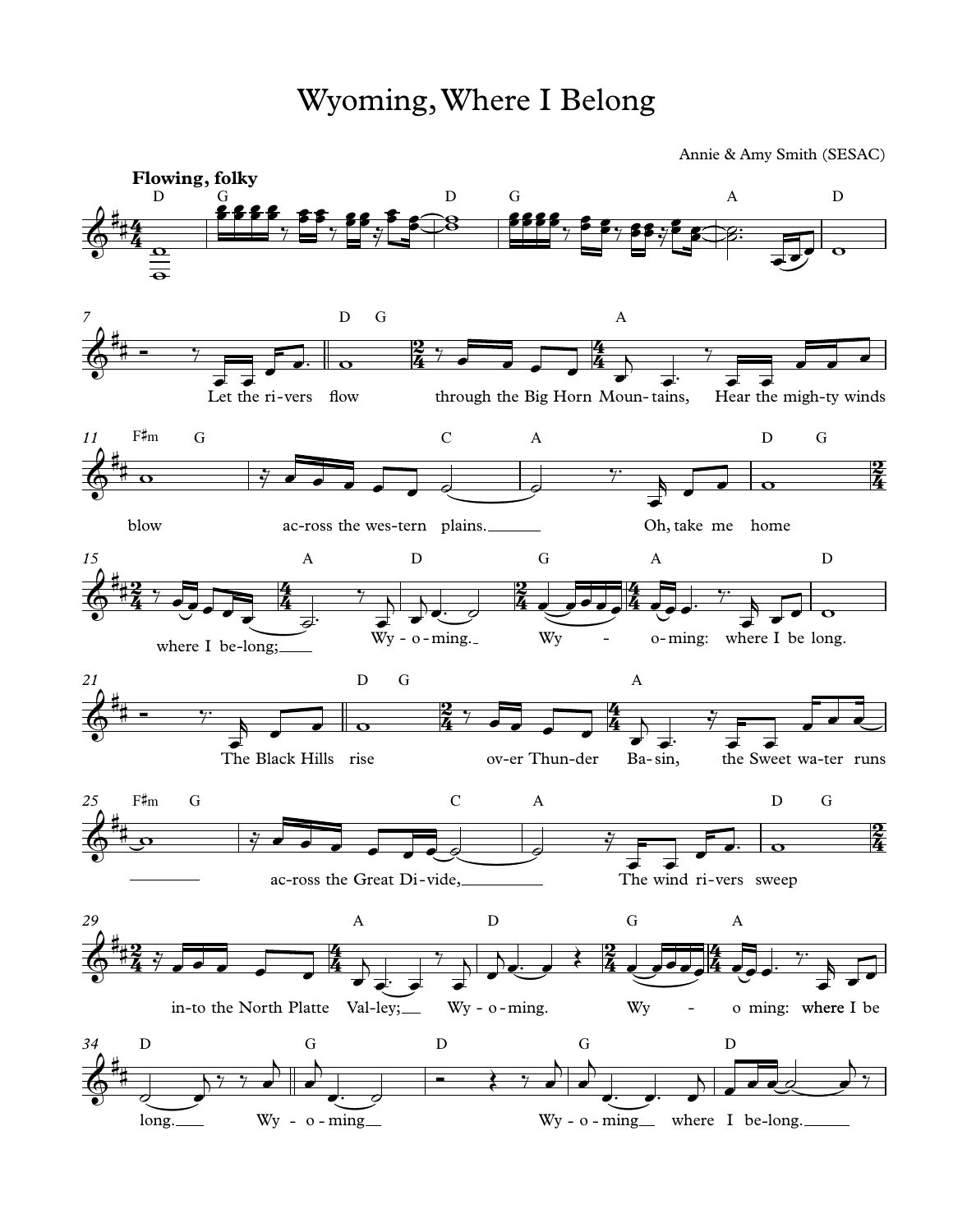Annie & Amy Smith (SESAC)